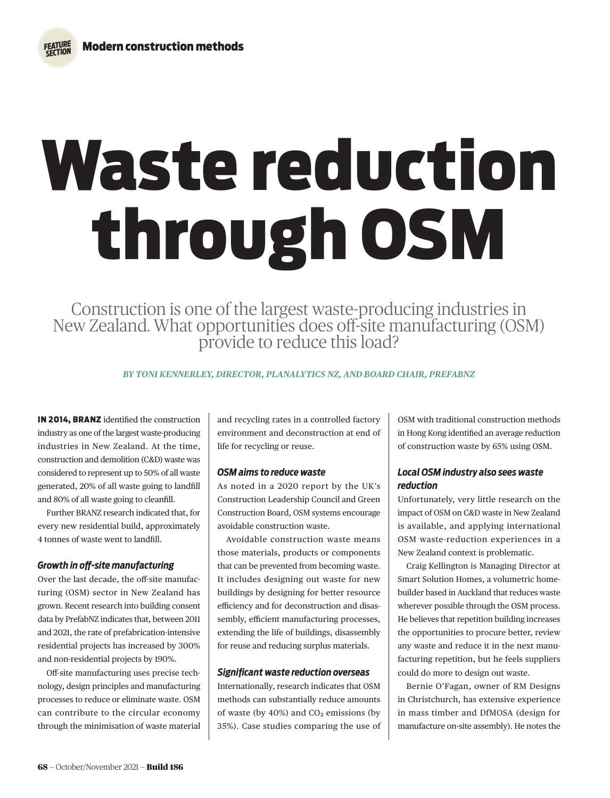# Waste reduction through OSM

Construction is one of the largest waste-producing industries in New Zealand. What opportunities does off-site manufacturing (OSM) provide to reduce this load?

*BY TONI KENNERLEY, DIRECTOR, PLANALYTICS NZ, AND BOARD CHAIR, PREFABNZ* 

IN 2014, BRANZ identified the construction industry as one of the largest waste-producing industries in New Zealand. At the time, construction and demolition (C&D) waste was considered to represent up to 50% of all waste generated, 20% of all waste going to landfill and 80% of all waste going to cleanfill.

Further BRANZ research indicated that, for every new residential build, approximately 4 tonnes of waste went to landfill.

## *Growth in off-site manufacturing*

Over the last decade, the off-site manufacturing (OSM) sector in New Zealand has grown. Recent research into building consent data by PrefabNZ indicates that, between 2011 and 2021, the rate of prefabrication-intensive residential projects has increased by 300% and non-residential projects by 190%.

Off-site manufacturing uses precise technology, design principles and manufacturing processes to reduce or eliminate waste. OSM can contribute to the circular economy through the minimisation of waste material

and recycling rates in a controlled factory environment and deconstruction at end of life for recycling or reuse.

## *OSM aims to reduce waste*

As noted in a 2020 report by the UK's Construction Leadership Council and Green Construction Board, OSM systems encourage avoidable construction waste.

Avoidable construction waste means those materials, products or components that can be prevented from becoming waste. It includes designing out waste for new buildings by designing for better resource efficiency and for deconstruction and disassembly, efficient manufacturing processes, extending the life of buildings, disassembly for reuse and reducing surplus materials.

#### *Significant waste reduction overseas*

Internationally, research indicates that OSM methods can substantially reduce amounts of waste (by  $40\%$ ) and  $CO<sub>2</sub>$  emissions (by 35%). Case studies comparing the use of OSM with traditional construction methods in Hong Kong identified an average reduction of construction waste by 65% using OSM.

# *Local OSM industry also sees waste reduction*

Unfortunately, very little research on the impact of OSM on C&D waste in New Zealand is available, and applying international OSM waste-reduction experiences in a New Zealand context is problematic.

Craig Kellington is Managing Director at Smart Solution Homes, a volumetric homebuilder based in Auckland that reduces waste wherever possible through the OSM process. He believes that repetition building increases the opportunities to procure better, review any waste and reduce it in the next manufacturing repetition, but he feels suppliers could do more to design out waste.

Bernie O'Fagan, owner of RM Designs in Christchurch, has extensive experience in mass timber and DfMOSA (design for manufacture on-site assembly). He notes the